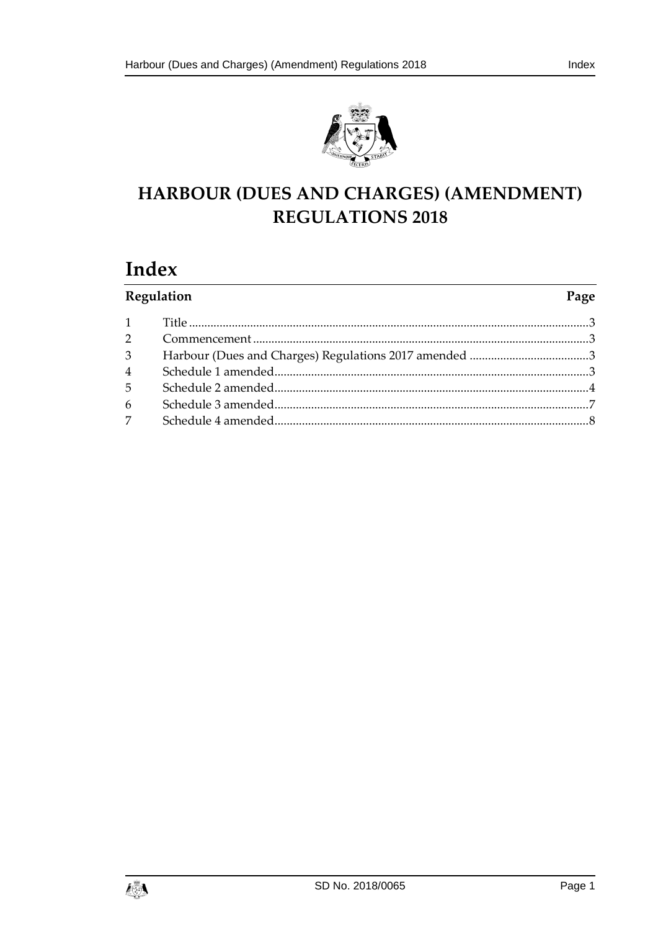

# HARBOUR (DUES AND CHARGES) (AMENDMENT) **REGULATIONS 2018**

# Index

| Regulation     |  | Page |
|----------------|--|------|
| 1              |  |      |
| 2              |  |      |
| $\overline{3}$ |  |      |
| $\overline{4}$ |  |      |
| 5              |  |      |
| 6              |  |      |
| $\overline{7}$ |  |      |

Page 1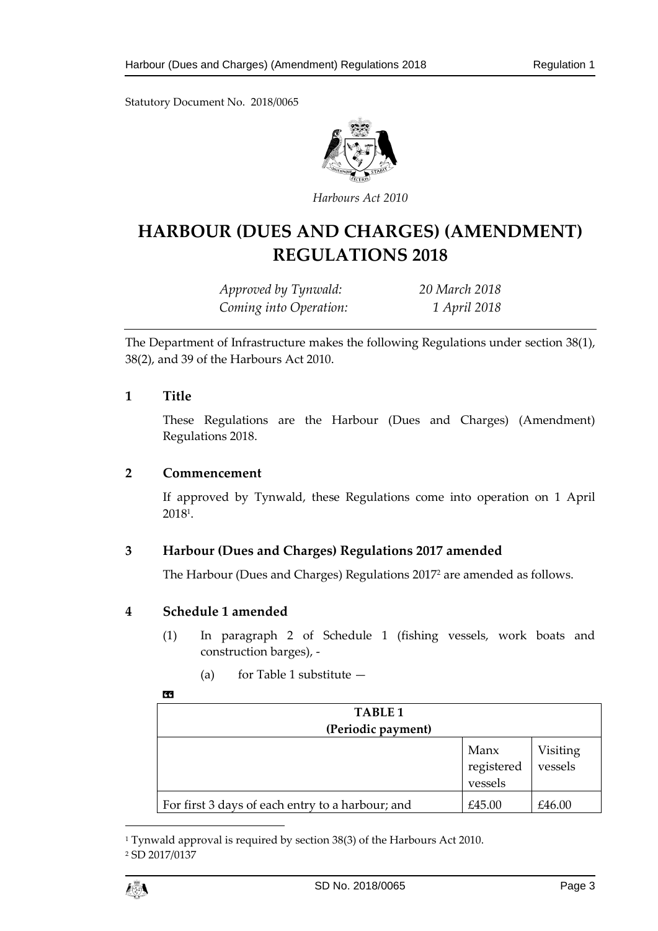Statutory Document No. 2018/0065



*Harbours Act 2010*

# **HARBOUR (DUES AND CHARGES) (AMENDMENT) REGULATIONS 2018**

*Approved by Tynwald: 20 March 2018 Coming into Operation: 1 April 2018*

The Department of Infrastructure makes the following Regulations under section 38(1), 38(2), and 39 of the Harbours Act 2010.

#### <span id="page-2-0"></span>**1 Title**

These Regulations are the Harbour (Dues and Charges) (Amendment) Regulations 2018.

# <span id="page-2-1"></span>**2 Commencement**

If approved by Tynwald, these Regulations come into operation on 1 April 2018<sup>1</sup> .

# <span id="page-2-2"></span>**3 Harbour (Dues and Charges) Regulations 2017 amended**

The Harbour (Dues and Charges) Regulations 2017<sup>2</sup> are amended as follows.

# <span id="page-2-3"></span>**4 Schedule 1 amended**

- (1) In paragraph 2 of Schedule 1 (fishing vessels, work boats and construction barges), -
	- (a) for Table 1 substitute  $-$

#### «

| TABLE <sub>1</sub><br>(Periodic payment)         |                               |                     |
|--------------------------------------------------|-------------------------------|---------------------|
|                                                  | Manx<br>registered<br>vessels | Visiting<br>vessels |
| For first 3 days of each entry to a harbour; and | £45.00                        | £46.00              |

<sup>1</sup> Tynwald approval is required by section 38(3) of the Harbours Act 2010. <sup>2</sup> SD 2017/0137



 $\overline{a}$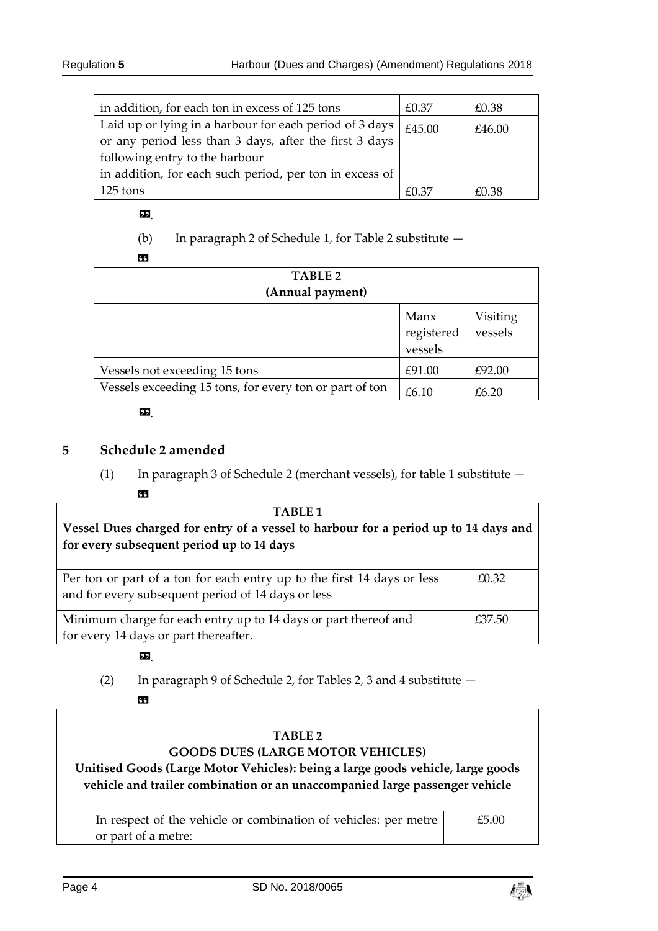| in addition, for each ton in excess of 125 tons         | £0.37  | £0.38  |
|---------------------------------------------------------|--------|--------|
| Laid up or lying in a harbour for each period of 3 days | £45.00 | £46.00 |
| or any period less than 3 days, after the first 3 days  |        |        |
| following entry to the harbour                          |        |        |
| in addition, for each such period, per ton in excess of |        |        |
| 125 tons                                                | £0.37  | £0.38  |

#### $\mathbf{D}$

(b) In paragraph 2 of Schedule 1, for Table 2 substitute —

«

| TABLE 2<br>(Annual payment)                             |                               |                     |  |
|---------------------------------------------------------|-------------------------------|---------------------|--|
|                                                         | Manx<br>registered<br>vessels | Visiting<br>vessels |  |
| Vessels not exceeding 15 tons                           | £91.00                        | £92.00              |  |
| Vessels exceeding 15 tons, for every ton or part of ton | £6.10                         | £6.20               |  |

#### ».

# <span id="page-3-0"></span>**5 Schedule 2 amended**

(1) In paragraph 3 of Schedule 2 (merchant vessels), for table 1 substitute — «

| TABLE 1<br>Vessel Dues charged for entry of a vessel to harbour for a period up to 14 days and<br>for every subsequent period up to 14 days |        |
|---------------------------------------------------------------------------------------------------------------------------------------------|--------|
| Per ton or part of a ton for each entry up to the first 14 days or less<br>and for every subsequent period of 14 days or less               | £0.32  |
| Minimum charge for each entry up to 14 days or part thereof and<br>for every 14 days or part thereafter.                                    | £37.50 |

# ».

(2) In paragraph 9 of Schedule 2, for Tables 2, 3 and 4 substitute — «

#### **TABLE 2 GOODS DUES (LARGE MOTOR VEHICLES)**

**Unitised Goods (Large Motor Vehicles): being a large goods vehicle, large goods vehicle and trailer combination or an unaccompanied large passenger vehicle**

| In respect of the vehicle or combination of vehicles: per metre | £5.00 |
|-----------------------------------------------------------------|-------|
| or part of a metre:                                             |       |

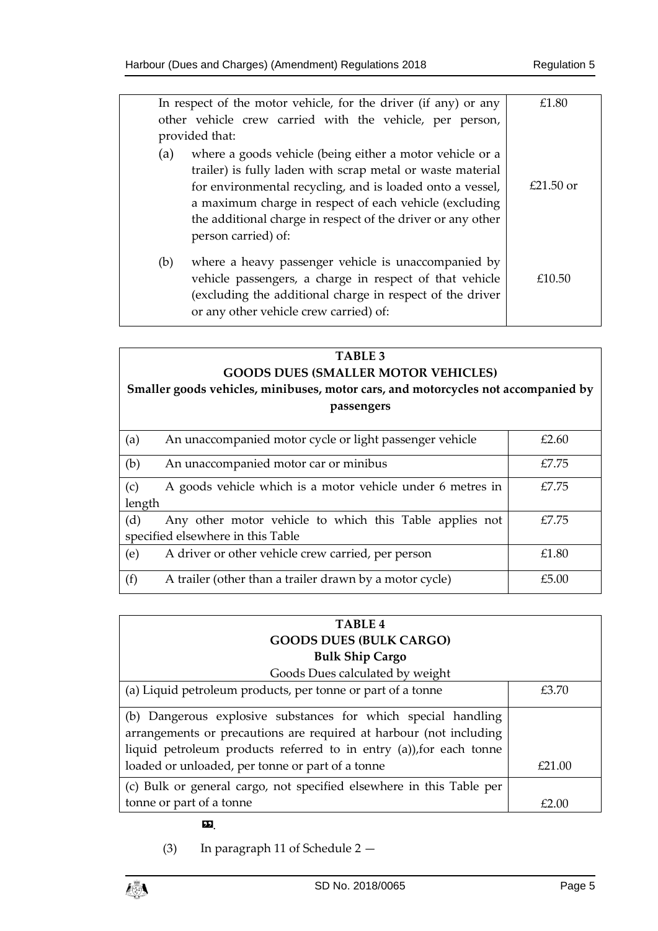|     | In respect of the motor vehicle, for the driver (if any) or any                                                                                                                                                                                                                                                                     | £1.80       |
|-----|-------------------------------------------------------------------------------------------------------------------------------------------------------------------------------------------------------------------------------------------------------------------------------------------------------------------------------------|-------------|
|     | other vehicle crew carried with the vehicle, per person,                                                                                                                                                                                                                                                                            |             |
|     | provided that:                                                                                                                                                                                                                                                                                                                      |             |
| (a) | where a goods vehicle (being either a motor vehicle or a<br>trailer) is fully laden with scrap metal or waste material<br>for environmental recycling, and is loaded onto a vessel,<br>a maximum charge in respect of each vehicle (excluding<br>the additional charge in respect of the driver or any other<br>person carried) of: | $£21.50$ or |
| (b) | where a heavy passenger vehicle is unaccompanied by<br>vehicle passengers, a charge in respect of that vehicle<br>(excluding the additional charge in respect of the driver<br>or any other vehicle crew carried) of:                                                                                                               | £10.50      |

# **TABLE 3 GOODS DUES (SMALLER MOTOR VEHICLES)**

# **Smaller goods vehicles, minibuses, motor cars, and motorcycles not accompanied by passengers**

| (a)                               | An unaccompanied motor cycle or light passenger vehicle    | £2.60 |
|-----------------------------------|------------------------------------------------------------|-------|
| (b)                               | An unaccompanied motor car or minibus                      | £7.75 |
| (c)                               | A goods vehicle which is a motor vehicle under 6 metres in | £7.75 |
| length                            |                                                            |       |
| (d)                               | Any other motor vehicle to which this Table applies not    | £7.75 |
| specified elsewhere in this Table |                                                            |       |
| (e)                               | A driver or other vehicle crew carried, per person         | £1.80 |
| (f)                               | A trailer (other than a trailer drawn by a motor cycle)    | £5.00 |

| TABLE <sub>4</sub>                                                                                                                                                                                         |        |
|------------------------------------------------------------------------------------------------------------------------------------------------------------------------------------------------------------|--------|
| <b>GOODS DUES (BULK CARGO)</b>                                                                                                                                                                             |        |
| <b>Bulk Ship Cargo</b>                                                                                                                                                                                     |        |
| Goods Dues calculated by weight                                                                                                                                                                            |        |
| (a) Liquid petroleum products, per tonne or part of a tonne                                                                                                                                                | £3.70  |
| (b) Dangerous explosive substances for which special handling<br>arrangements or precautions are required at harbour (not including<br>liquid petroleum products referred to in entry (a)), for each tonne |        |
| loaded or unloaded, per tonne or part of a tonne                                                                                                                                                           | £21.00 |
| (c) Bulk or general cargo, not specified elsewhere in this Table per                                                                                                                                       |        |
| tonne or part of a tonne                                                                                                                                                                                   | £2.00  |

#### ».

(3) In paragraph 11 of Schedule 2 —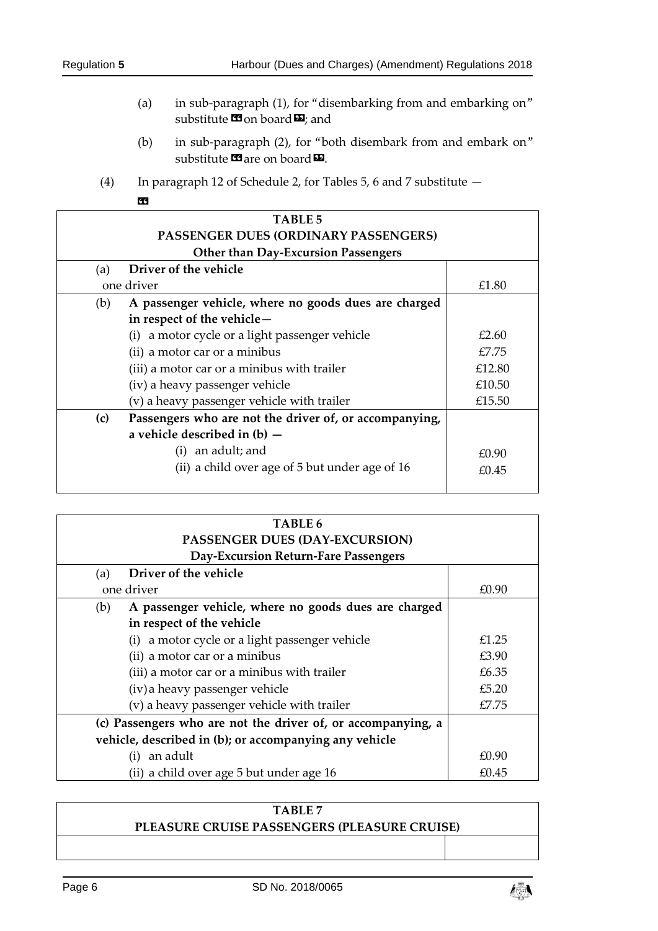- (a) in sub-paragraph (1), for "disembarking from and embarking on" substitute  $\mathbf{\Omega}$  on board  $\mathbf{\Sigma}$ ; and
- (b) in sub-paragraph (2), for "both disembark from and embark on" substitute  $\mathbf{\Omega}$  are on board  $\mathbf{\Omega}$ .
- (4) In paragraph 12 of Schedule 2, for Tables 5, 6 and 7 substitute —

| <b>TABLE 5</b> |                                                        |        |  |
|----------------|--------------------------------------------------------|--------|--|
|                | <b>PASSENGER DUES (ORDINARY PASSENGERS)</b>            |        |  |
|                | <b>Other than Day-Excursion Passengers</b>             |        |  |
| (a)            | Driver of the vehicle                                  |        |  |
|                | one driver                                             | £1.80  |  |
| (b)            | A passenger vehicle, where no goods dues are charged   |        |  |
|                | in respect of the vehicle-                             |        |  |
|                | (i) a motor cycle or a light passenger vehicle         | £2.60  |  |
|                | (ii) a motor car or a minibus                          | £7.75  |  |
|                | (iii) a motor car or a minibus with trailer            | £12.80 |  |
|                | (iv) a heavy passenger vehicle                         | £10.50 |  |
|                | (v) a heavy passenger vehicle with trailer             | £15.50 |  |
| (c)            | Passengers who are not the driver of, or accompanying, |        |  |
|                | a vehicle described in $(b)$ -                         |        |  |
|                | an adult; and                                          | £0.90  |  |
|                | (ii) a child over age of 5 but under age of 16         | £0.45  |  |
|                |                                                        |        |  |

| TABLE 6<br>PASSENGER DUES (DAY-EXCURSION)                    |       |  |
|--------------------------------------------------------------|-------|--|
| Day-Excursion Return-Fare Passengers                         |       |  |
| Driver of the vehicle<br>(a)                                 |       |  |
| one driver                                                   | £0.90 |  |
| A passenger vehicle, where no goods dues are charged<br>(b)  |       |  |
| in respect of the vehicle                                    |       |  |
| a motor cycle or a light passenger vehicle<br>(i)            | £1.25 |  |
| (ii) a motor car or a minibus                                | £3.90 |  |
| (iii) a motor car or a minibus with trailer                  | £6.35 |  |
| (iv) a heavy passenger vehicle                               | £5.20 |  |
| (v) a heavy passenger vehicle with trailer                   | £7.75 |  |
| (c) Passengers who are not the driver of, or accompanying, a |       |  |
| vehicle, described in (b); or accompanying any vehicle       |       |  |
| an adult<br>(i)                                              | £0.90 |  |
| (ii) a child over age 5 but under age 16                     | £0.45 |  |

| TABLE 7                                      |  |
|----------------------------------------------|--|
| PLEASURE CRUISE PASSENGERS (PLEASURE CRUISE) |  |
|                                              |  |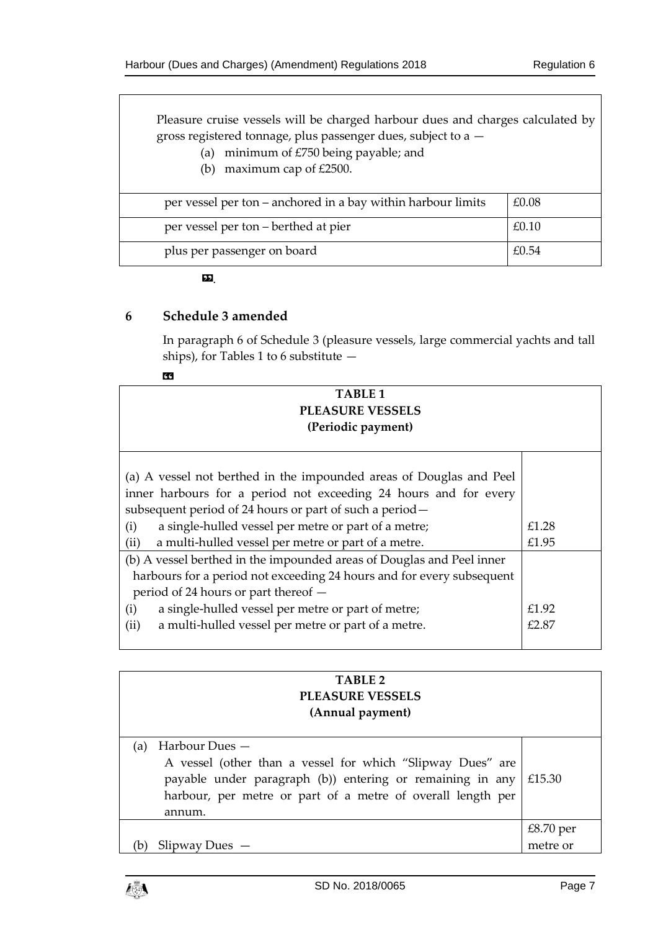Pleasure cruise vessels will be charged harbour dues and charges calculated by gross registered tonnage, plus passenger dues, subject to a —

- (a) minimum of £750 being payable; and
- (b) maximum cap of £2500.

| per vessel per ton – anchored in a bay within harbour limits | £0.08 |
|--------------------------------------------------------------|-------|
| per vessel per ton – berthed at pier                         | £0.10 |
| plus per passenger on board                                  | £0.54 |

».

# <span id="page-6-0"></span>**6 Schedule 3 amended**

In paragraph 6 of Schedule 3 (pleasure vessels, large commercial yachts and tall ships), for Tables 1 to 6 substitute —

| <b>TABLE 1</b><br><b>PLEASURE VESSELS</b><br>(Periodic payment)       |       |  |
|-----------------------------------------------------------------------|-------|--|
|                                                                       |       |  |
| (a) A vessel not berthed in the impounded areas of Douglas and Peel   |       |  |
| inner harbours for a period not exceeding 24 hours and for every      |       |  |
| subsequent period of 24 hours or part of such a period-               |       |  |
| a single-hulled vessel per metre or part of a metre;<br>(i)           | £1.28 |  |
| a multi-hulled vessel per metre or part of a metre.<br>(ii)           | £1.95 |  |
| (b) A vessel berthed in the impounded areas of Douglas and Peel inner |       |  |
| harbours for a period not exceeding 24 hours and for every subsequent |       |  |
| period of 24 hours or part thereof -                                  |       |  |
| a single-hulled vessel per metre or part of metre;<br>(i)             | £1.92 |  |
| a multi-hulled vessel per metre or part of a metre.<br>(ii)           | £2.87 |  |
|                                                                       |       |  |

# **TABLE 2 PLEASURE VESSELS (Annual payment)**

| (a) Harbour Dues $-$                                                    |                      |
|-------------------------------------------------------------------------|----------------------|
| A vessel (other than a vessel for which "Slipway Dues" are              |                      |
| payable under paragraph (b)) entering or remaining in any $\mid$ £15.30 |                      |
| harbour, per metre or part of a metre of overall length per             |                      |
| annum.                                                                  |                      |
|                                                                         | $£8.70$ per metre or |
| $Slipway$ Dues $-$                                                      |                      |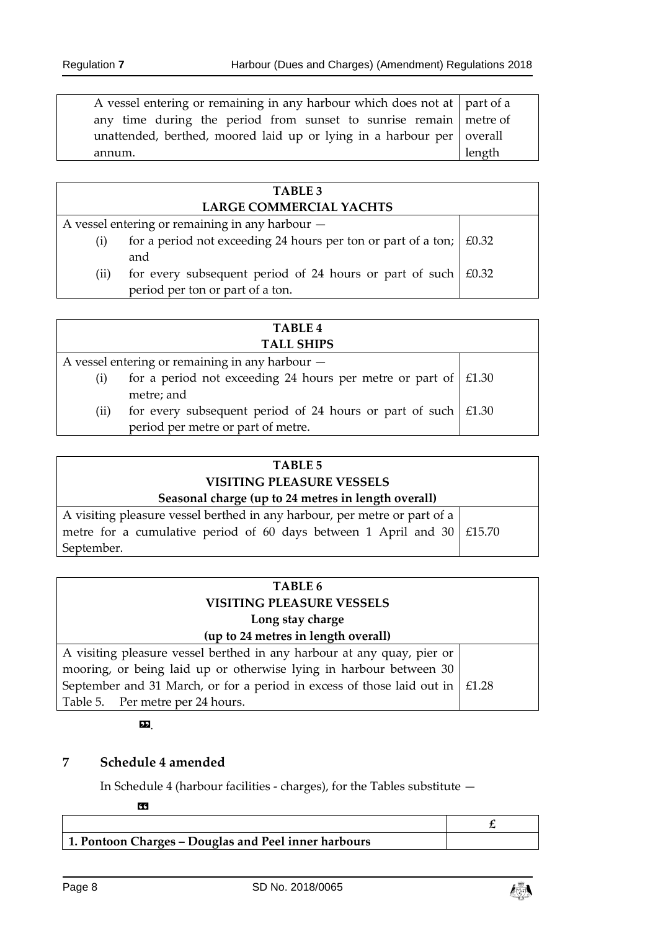| A vessel entering or remaining in any harbour which does not at part of a |        |
|---------------------------------------------------------------------------|--------|
| any time during the period from sunset to sunrise remain netre of         |        |
| unattended, berthed, moored laid up or lying in a harbour per overall     |        |
| annum.                                                                    | length |

|                            | <b>TABLE 3</b>                                                             |  |
|----------------------------|----------------------------------------------------------------------------|--|
|                            | <b>LARGE COMMERCIAL YACHTS</b>                                             |  |
|                            | A vessel entering or remaining in any harbour -                            |  |
| (i)                        | for a period not exceeding 24 hours per ton or part of a ton; $\mid$ £0.32 |  |
|                            | and                                                                        |  |
| $\left( \text{ii} \right)$ | for every subsequent period of 24 hours or part of such $ f0.32\rangle$    |  |
|                            | period per ton or part of a ton.                                           |  |

|                   | <b>TABLE 4</b>                                                        |  |
|-------------------|-----------------------------------------------------------------------|--|
| <b>TALL SHIPS</b> |                                                                       |  |
|                   | A vessel entering or remaining in any harbour -                       |  |
| $\rm(i)$          | for a period not exceeding 24 hours per metre or part of $\mid$ £1.30 |  |
|                   | metre; and                                                            |  |
| (ii)              | for every subsequent period of 24 hours or part of such $\mid$ £1.30  |  |
|                   | period per metre or part of metre.                                    |  |

| <b>TABLE 5</b>                                                              |  |
|-----------------------------------------------------------------------------|--|
| <b>VISITING PLEASURE VESSELS</b>                                            |  |
| Seasonal charge (up to 24 metres in length overall)                         |  |
| A visiting pleasure vessel berthed in any harbour, per metre or part of a   |  |
| metre for a cumulative period of 60 days between 1 April and 30 $\pm$ 15.70 |  |
| September.                                                                  |  |

| TABLE 6                                                                             |  |
|-------------------------------------------------------------------------------------|--|
| <b>VISITING PLEASURE VESSELS</b>                                                    |  |
| Long stay charge                                                                    |  |
| (up to 24 metres in length overall)                                                 |  |
| A visiting pleasure vessel berthed in any harbour at any quay, pier or              |  |
| mooring, or being laid up or otherwise lying in harbour between 30                  |  |
| September and 31 March, or for a period in excess of those laid out in $\mid$ £1.28 |  |
| Table 5. Per metre per 24 hours.                                                    |  |

#### ».

# <span id="page-7-0"></span>**7 Schedule 4 amended**

In Schedule 4 (harbour facilities - charges), for the Tables substitute —

«

| 1. Pontoon Charges – Douglas and Peel inner harbours |  |
|------------------------------------------------------|--|

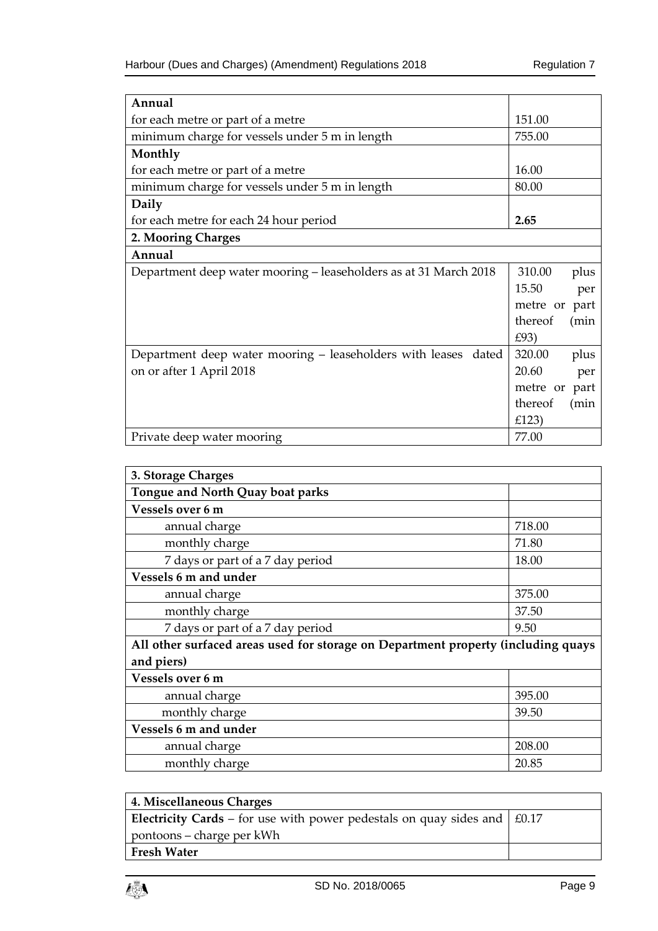| Annual                                                            |                  |
|-------------------------------------------------------------------|------------------|
| for each metre or part of a metre                                 | 151.00           |
| minimum charge for vessels under 5 m in length                    | 755.00           |
| Monthly                                                           |                  |
| for each metre or part of a metre                                 | 16.00            |
| minimum charge for vessels under 5 m in length                    | 80.00            |
| Daily                                                             |                  |
| for each metre for each 24 hour period                            | 2.65             |
| 2. Mooring Charges                                                |                  |
| Annual                                                            |                  |
| Department deep water mooring – leaseholders as at 31 March 2018  | 310.00<br>plus   |
|                                                                   | 15.50<br>per     |
|                                                                   | part<br>metre or |
|                                                                   | thereof<br>(min  |
|                                                                   | £93)             |
| Department deep water mooring – leaseholders with leases<br>dated | 320.00<br>plus   |
| on or after 1 April 2018                                          | 20.60<br>per     |
|                                                                   | metre or<br>part |
|                                                                   | thereof<br>(min  |
|                                                                   | £123)            |
| Private deep water mooring                                        | 77.00            |

| 3. Storage Charges                                                                |        |  |
|-----------------------------------------------------------------------------------|--------|--|
| Tongue and North Quay boat parks                                                  |        |  |
| Vessels over 6 m                                                                  |        |  |
| annual charge                                                                     | 718.00 |  |
| monthly charge                                                                    | 71.80  |  |
| 7 days or part of a 7 day period                                                  | 18.00  |  |
| <b>Vessels 6 m and under</b>                                                      |        |  |
| annual charge                                                                     | 375.00 |  |
| monthly charge                                                                    | 37.50  |  |
| 7 days or part of a 7 day period                                                  | 9.50   |  |
| All other surfaced areas used for storage on Department property (including quays |        |  |
| and piers)                                                                        |        |  |
| Vessels over 6 m                                                                  |        |  |
| annual charge                                                                     | 395.00 |  |
| monthly charge                                                                    | 39.50  |  |
| Vessels 6 m and under                                                             |        |  |
| annual charge                                                                     | 208.00 |  |
| monthly charge                                                                    | 20.85  |  |

| 4. Miscellaneous Charges                                                               |  |
|----------------------------------------------------------------------------------------|--|
| <b>Electricity Cards</b> – for use with power pedestals on quay sides and $\mid$ £0.17 |  |
| pontoons – charge per kWh                                                              |  |
| <b>Fresh Water</b>                                                                     |  |

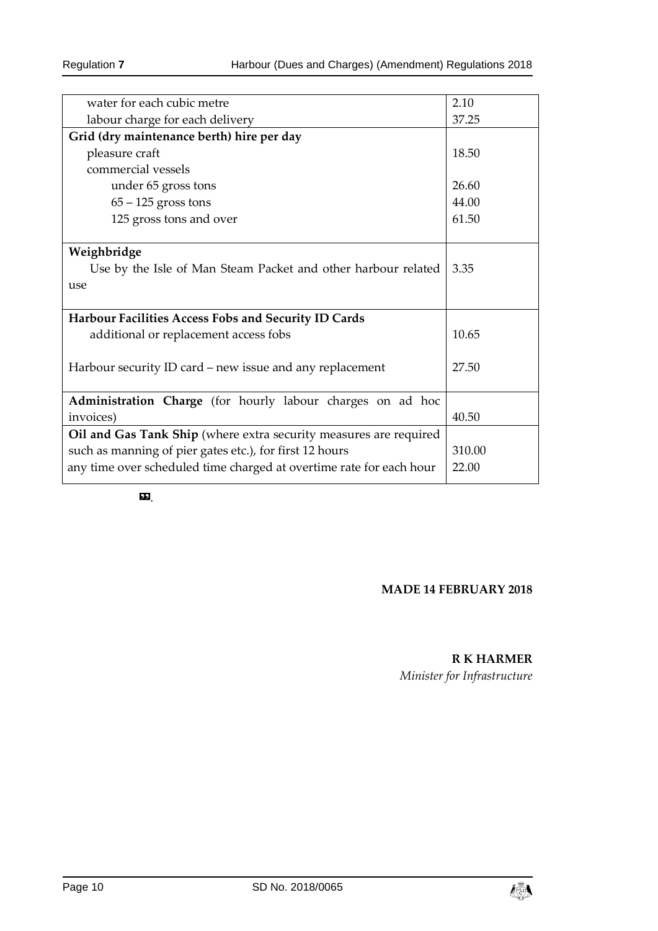| water for each cubic metre                                           | 2.10   |
|----------------------------------------------------------------------|--------|
| labour charge for each delivery                                      | 37.25  |
| Grid (dry maintenance berth) hire per day                            |        |
| pleasure craft                                                       | 18.50  |
| commercial vessels                                                   |        |
| under 65 gross tons                                                  | 26.60  |
| $65 - 125$ gross tons                                                | 44.00  |
| 125 gross tons and over                                              | 61.50  |
| Use by the Isle of Man Steam Packet and other harbour related<br>use | 3.35   |
| Harbour Facilities Access Fobs and Security ID Cards                 |        |
| additional or replacement access fobs                                | 10.65  |
| Harbour security ID card – new issue and any replacement             | 27.50  |
| Administration Charge (for hourly labour charges on ad hoc           |        |
| invoices)                                                            | 40.50  |
| Oil and Gas Tank Ship (where extra security measures are required    |        |
| such as manning of pier gates etc.), for first 12 hours              | 310.00 |
| any time over scheduled time charged at overtime rate for each hour  | 22.00  |
|                                                                      |        |

».

#### **MADE 14 FEBRUARY 2018**

## **R K HARMER**

*Minister for Infrastructure*